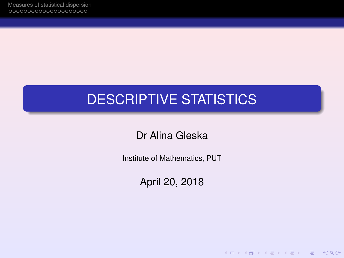# DESCRIPTIVE STATISTICS

Dr Alina Gleska

Institute of Mathematics, PUT

April 20, 2018

K ロ ▶ K @ ▶ K 할 ▶ K 할 ▶ | 할 | © Q Q @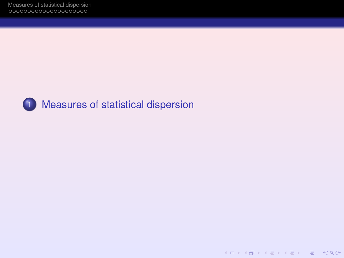

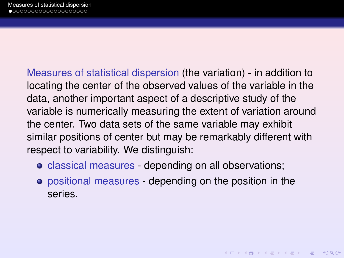<span id="page-2-0"></span>Measures of statistical dispersion (the variation) - in addition to locating the center of the observed values of the variable in the data, another important aspect of a descriptive study of the variable is numerically measuring the extent of variation around the center. Two data sets of the same variable may exhibit similar positions of center but may be remarkably different with respect to variability. We distinguish:

- classical measures depending on all observations;
- positional measures depending on the position in the series.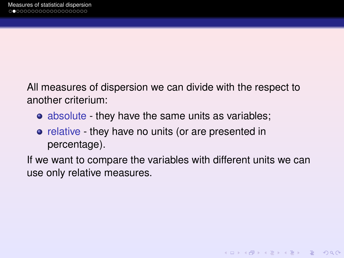All measures of dispersion we can divide with the respect to another criterium:

- absolute they have the same units as variables;
- relative they have no units (or are presented in percentage).

If we want to compare the variables with different units we can use only relative measures.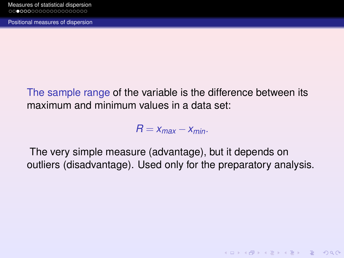<span id="page-4-0"></span>The sample range of the variable is the difference between its maximum and minimum values in a data set:

 $R = X_{max} - X_{min}$ .

The very simple measure (advantage), but it depends on outliers (disadvantage). Used only for the preparatory analysis.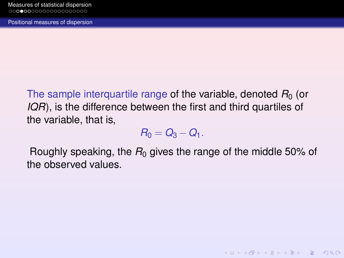<span id="page-5-0"></span>The sample interquartile range of the variable, denoted  $R_0$  (or *IQR*), is the difference between the first and third quartiles of the variable, that is,

$$
R_0=Q_3-Q_1.
$$

Roughly speaking, the  $R_0$  gives the range of the middle 50% of the observed values.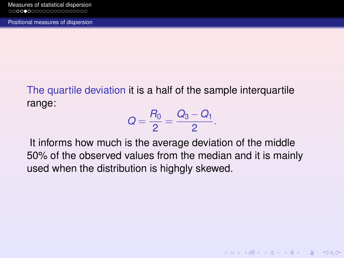<span id="page-6-0"></span>The quartile deviation it is a half of the sample interquartile range:

$$
Q = \frac{R_0}{2} = \frac{Q_3 - Q_1}{2}.
$$

It informs how much is the average deviation of the middle 50% of the observed values from the median and it is mainly used when the distribution is highgly skewed.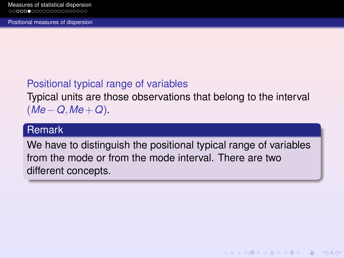# <span id="page-7-0"></span>Positional typical range of variables

Typical units are those observations that belong to the interval (*Me* −*Q*,*Me* +*Q*).

## Remark

We have to distinguish the positional typical range of variables from the mode or from the mode interval. There are two different concepts.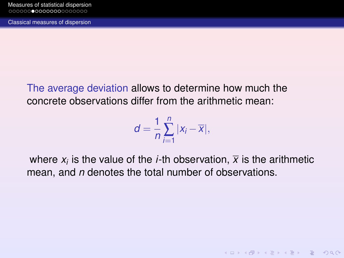<span id="page-8-0"></span>[Classical measures of dispersion](#page-8-0)

The average deviation allows to determine how much the concrete observations differ from the arithmetic mean:

$$
d=\frac{1}{n}\sum_{i=1}^n |x_i-\overline{x}|,
$$

where  $x_i$  is the value of the *i*-th observation,  $\overline{x}$  is the arithmetic mean, and *n* denotes the total number of observations.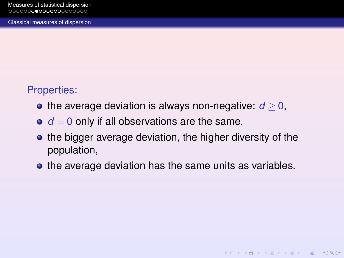## <span id="page-9-0"></span>Properties:

- the average deviation is always non-negative:  $d \geq 0$ ,
- $\bullet$   $d = 0$  only if all observations are the same,
- the bigger average deviation, the higher diversity of the population,
- the average deviation has the same units as variables.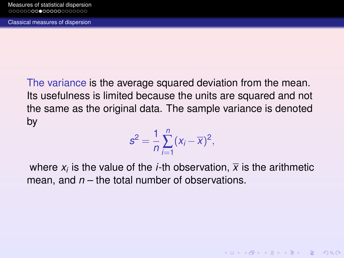<span id="page-10-0"></span>The variance is the average squared deviation from the mean. Its usefulness is limited because the units are squared and not the same as the original data. The sample variance is denoted by

$$
s^2=\frac{1}{n}\sum_{i=1}^n(x_i-\overline{x})^2,
$$

where  $x_i$  is the value of the *i*-th observation,  $\overline{x}$  is the arithmetic mean, and *n* – the total number of observations.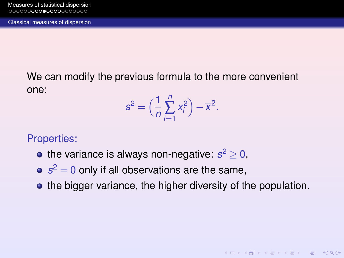<span id="page-11-0"></span>We can modify the previous formula to the more convenient one:

$$
s^2 = \Big(\frac{1}{n}\sum_{i=1}^n x_i^2\Big) - \overline{x}^2.
$$

#### Properties:

- the variance is always non-negative:  $s^2 \geq 0$ ,
- $s^2 = 0$  only if all observations are the same,
- the bigger variance, the higher diversity of the population.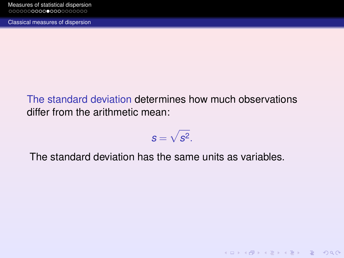<span id="page-12-0"></span>[Classical measures of dispersion](#page-12-0)

The standard deviation determines how much observations differ from the arithmetic mean:

$$
s=\sqrt{s^2}.
$$

**KOD KAD KED KED E VAN** 

The standard deviation has the same units as variables.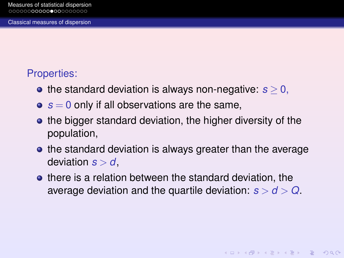# <span id="page-13-0"></span>Properties:

- the standard deviation is always non-negative:  $s > 0$ ,
- $s = 0$  only if all observations are the same,
- the bigger standard deviation, the higher diversity of the population,
- the standard deviation is always greater than the average deviation  $s > d$ ,
- **•** there is a relation between the standard deviation, the average deviation and the quartile deviation:  $s > d > Q$ .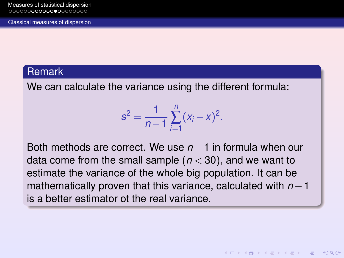#### <span id="page-14-0"></span>Remark

We can calculate the variance using the different formula:

$$
s^{2} = \frac{1}{n-1} \sum_{i=1}^{n} (x_{i} - \overline{x})^{2}.
$$

Both methods are correct. We use *n*−1 in formula when our data come from the small sample (*n* < 30), and we want to estimate the variance of the whole big population. It can be mathematically proven that this variance, calculated with *n* − 1 is a better estimator ot the real variance.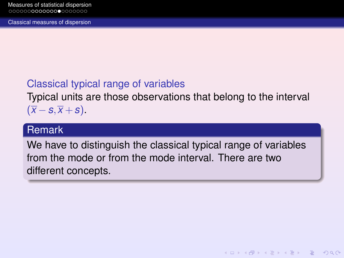<span id="page-15-0"></span>[Classical measures of dispersion](#page-15-0)

# Classical typical range of variables

Typical units are those observations that belong to the interval  $(\overline{x} - s, \overline{x} + s).$ 

## Remark

We have to distinguish the classical typical range of variables from the mode or from the mode interval. There are two different concepts.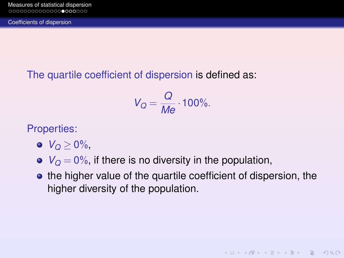<span id="page-16-0"></span>[Coefficients of dispersion](#page-16-0)

The quartile coefficient of dispersion is defined as:

$$
V_Q = \frac{Q}{Me} \cdot 100\%.
$$

Properties:

- $V_{\Omega} > 0\%$
- $V<sub>O</sub> = 0\%$ , if there is no diversity in the population,
- **•** the higher value of the quartile coefficient of dispersion, the higher diversity of the population.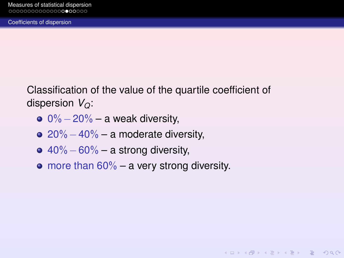<span id="page-17-0"></span>Classification of the value of the quartile coefficient of dispersion *VQ*:

- $0\% 20\% a$  weak diversity,
- $\bullet$  20%  $-40\%$  a moderate diversity,
- $\bullet$  40% 60% a strong diversity,
- $\bullet$  more than 60% a very strong diversity.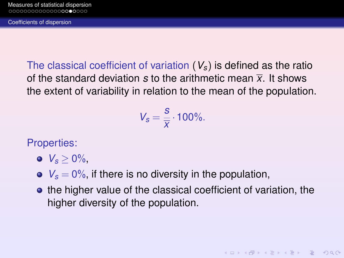<span id="page-18-0"></span>The classical coefficient of variation (*Vs*) is defined as the ratio of the standard deviation *s* to the arithmetic mean *x*. It shows the extent of variability in relation to the mean of the population.

> $V_s = \frac{s}{\overline{v}}$  $\frac{3}{x}$  · 100%.

Properties:

 $V_s > 0\%$ .

 $V_s = 0\%$ , if there is no diversity in the population,

**•** the higher value of the classical coefficient of variation, the higher diversity of the population.

**KOD KAD KED KED E VOOR**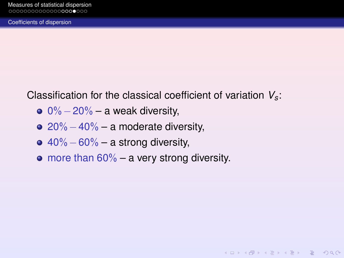<span id="page-19-0"></span>[Coefficients of dispersion](#page-19-0)

Classification for the classical coefficient of variation *Vs*:

- $0\% 20\% a$  weak diversity,
- $\bullet$  20%  $-40\%$  a moderate diversity,
- $\bullet$  40% 60% a strong diversity,
- $\bullet$  more than 60% a very strong diversity.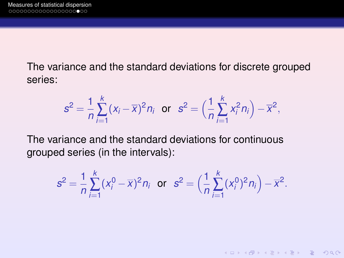The variance and the standard deviations for discrete grouped series:

$$
s^2 = \frac{1}{n} \sum_{i=1}^k (x_i - \overline{x})^2 n_i
$$
 or  $s^2 = \left(\frac{1}{n} \sum_{i=1}^k x_i^2 n_i\right) - \overline{x}^2$ ,

The variance and the standard deviations for continuous grouped series (in the intervals):

$$
s^{2} = \frac{1}{n} \sum_{i=1}^{k} (x_{i}^{0} - \overline{x})^{2} n_{i} \text{ or } s^{2} = \left(\frac{1}{n} \sum_{i=1}^{k} (x_{i}^{0})^{2} n_{i}\right) - \overline{x}^{2}.
$$

K ロ ▶ K @ ▶ K 할 > K 할 > → 할 → 9 Q Q\*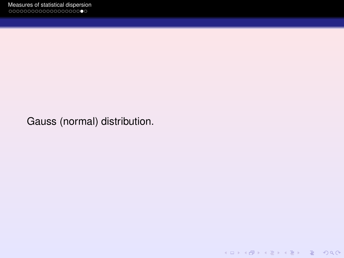Gauss (normal) distribution.